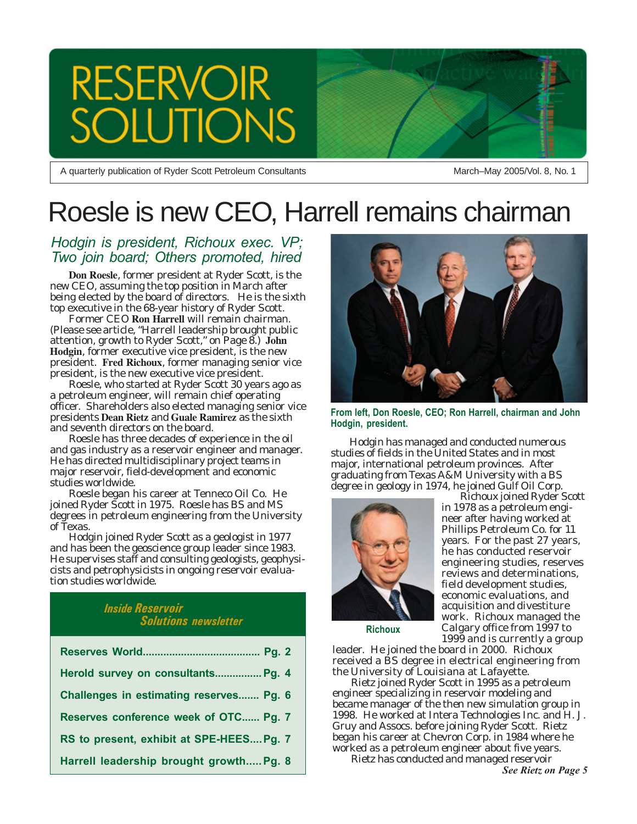# **RESERVOIR** ION

A quarterly publication of Ryder Scott Petroleum Consultants

March–May 2005/Vol. 8, No. 1

# Roesle is new CEO, Harrell remains chairman

### *Hodgin is president, Richoux exec. VP; Two join board; Others promoted, hired*

**Don Roesle**, former president at Ryder Scott, is the new CEO, assuming the top position in March after being elected by the board of directors. He is the sixth top executive in the 68-year history of Ryder Scott.

Former CEO **Ron Harrell** will remain chairman. (Please see article, "Harrell leadership brought public attention, growth to Ryder Scott," on Page 8.) **John Hodgin**, former executive vice president, is the new president. **Fred Richoux**, former managing senior vice president, is the new executive vice president.

Roesle, who started at Ryder Scott 30 years ago as a petroleum engineer, will remain chief operating officer. Shareholders also elected managing senior vice presidents **Dean Rietz** and **Guale Ramirez** as the sixth and seventh directors on the board.

Roesle has three decades of experience in the oil and gas industry as a reservoir engineer and manager. He has directed multidisciplinary project teams in major reservoir, field-development and economic studies worldwide.

Roesle began his career at Tenneco Oil Co. He joined Ryder Scott in 1975. Roesle has BS and MS degrees in petroleum engineering from the University of Texas.

Hodgin joined Ryder Scott as a geologist in 1977 and has been the geoscience group leader since 1983. He supervises staff and consulting geologists, geophysicists and petrophysicists in ongoing reservoir evaluation studies worldwide.

### *Inside Reservoir Solutions newsletter*

| Herold survey on consultants Pg. 4      |
|-----------------------------------------|
| Challenges in estimating reserves Pg. 6 |
| Reserves conference week of OTC Pg. 7   |
| RS to present, exhibit at SPE-HEESPg. 7 |
| Harrell leadership brought growth Pg. 8 |



**From left, Don Roesle, CEO; Ron Harrell, chairman and John Hodgin, president.**

Hodgin has managed and conducted numerous studies of fields in the United States and in most major, international petroleum provinces. After graduating from Texas A&M University with a BS degree in geology in 1974, he joined Gulf Oil Corp.



Richoux joined Ryder Scott in 1978 as a petroleum engineer after having worked at Phillips Petroleum Co. for 11 years. For the past 27 years, he has conducted reservoir engineering studies, reserves reviews and determinations, field development studies, economic evaluations, and acquisition and divestiture work. Richoux managed the Calgary office from 1997 to 1999 and is currently a group

**Richoux**

leader. He joined the board in 2000. Richoux received a BS degree in electrical engineering from the University of Louisiana at Lafayette.

Rietz joined Ryder Scott in 1995 as a petroleum engineer specializing in reservoir modeling and became manager of the then new simulation group in 1998. He worked at Intera Technologies Inc. and H. J. Gruy and Assocs. before joining Ryder Scott. Rietz began his career at Chevron Corp. in 1984 where he worked as a petroleum engineer about five years.

Rietz has conducted and managed reservoir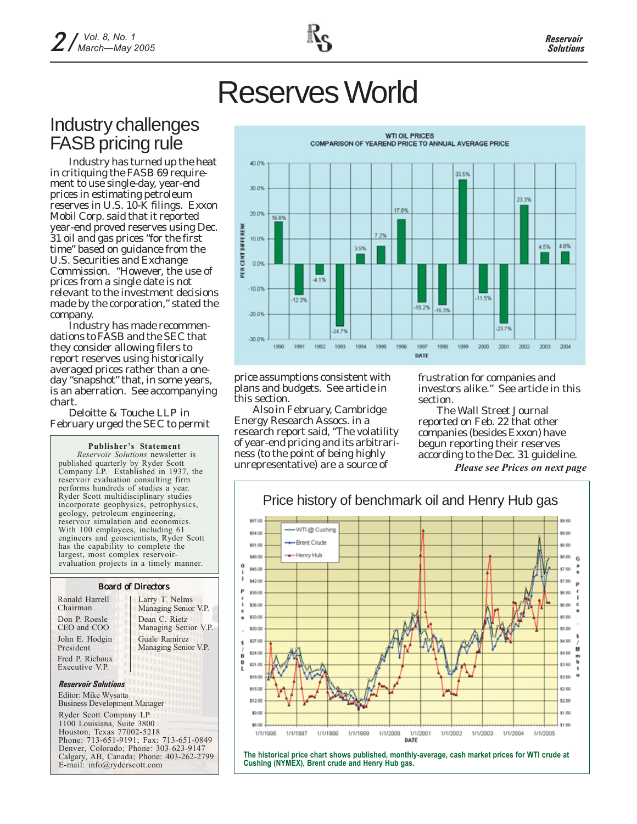# Reserves World

## Industry challenges FASB pricing rule

Industry has turned up the heat in critiquing the FASB 69 requirement to use single-day, year-end prices in estimating petroleum reserves in U.S. 10-K filings. Exxon Mobil Corp. said that it reported year-end proved reserves using Dec. 31 oil and gas prices "for the first time" based on guidance from the U.S. Securities and Exchange Commission. "However, the use of prices from a single date is not relevant to the investment decisions made by the corporation," stated the company.

Industry has made recommendations to FASB and the SEC that they consider allowing filers to report reserves using historically averaged prices rather than a oneday "snapshot" that, in some years, is an aberration. See accompanying chart.

Deloitte & Touche LLP in February urged the SEC to permit

**Publisher's Statement** *Reservoir Solutions* newsletter is published quarterly by Ryder Scott Company LP. Established in 1937, the reservoir evaluation consulting firm performs hundreds of studies a year. Ryder Scott multidisciplinary studies incorporate geophysics, petrophysics, geology, petroleum engineering, reservoir simulation and economics. With 100 employees, including 61 engineers and geoscientists, Ryder Scott has the capability to complete the largest, most complex reservoirevaluation projects in a timely manner.

### Board of Directors

Don P. Roesle CEO and COO John E. Hodgin President Fred P. Richoux Executive V.P. Ronald Harrell Chairman

Larry T. Nelms Managing Senior V.P. Dean C. Rietz Managing Senior V.P. Guale Ramirez Managing Senior V.P.

### *Reservoir Solutions*

Editor: Mike Wysatta Business Development Manager

Ryder Scott Company LP 1100 Louisiana, Suite 3800 Houston, Texas 77002-5218 Phone: 713-651-9191; Fax: 713-651-0849 Denver, Colorado; Phone: 303-623-9147 Calgary, AB, Canada; Phone: 403-262-2799 E-mail: info@ryderscott.com



price assumptions consistent with plans and budgets. See article in this section.

Also in February, Cambridge Energy Research Assocs. in a research report said, "The volatility of year-end pricing and its arbitrariness (to the point of being highly unrepresentative) are a source of

frustration for companies and investors alike." See article in this section.

*The Wall Street Journal* reported on Feb. 22 that other companies (besides Exxon) have begun reporting their reserves according to the Dec. 31 guideline.

*Please see Prices on next page*



**The historical price chart shows published, monthly-average, cash market prices for WTI crude at Cushing (NYMEX), Brent crude and Henry Hub gas.**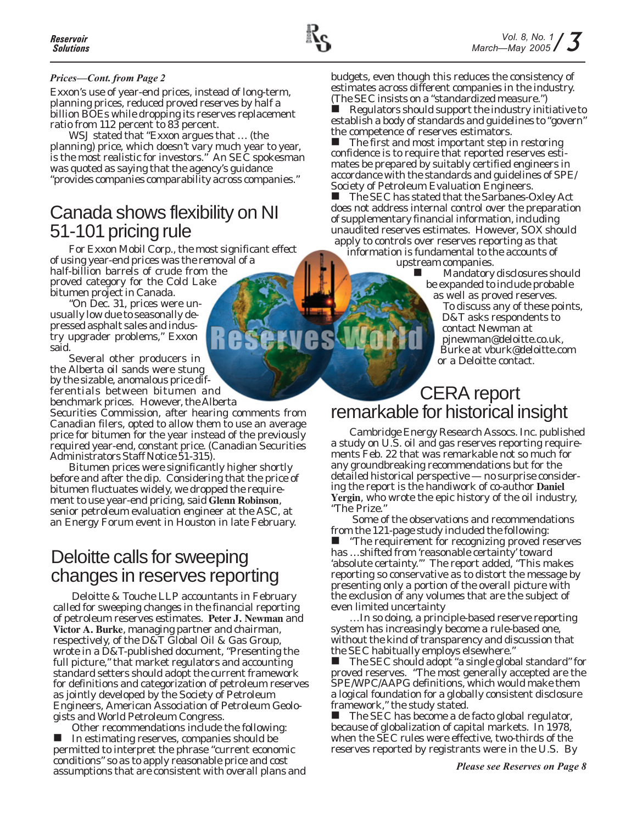### *Prices—Cont. from Page 2*

Exxon's use of year-end prices, instead of long-term, planning prices, reduced proved reserves by half a billion BOEs while dropping its reserves replacement ratio from 112 percent to 83 percent.

*WSJ* stated that "Exxon argues that … (the planning) price, which doesn't vary much year to year, is the most realistic for investors." An SEC spokesman was quoted as saying that the agency's guidance "provides companies comparability across companies."

## Canada shows flexibility on NI 51-101 pricing rule

For Exxon Mobil Corp., the most significant effect of using year-end prices was the removal of a half-billion barrels of crude from the proved category for the Cold Lake bitumen project in Canada.

"On Dec. 31, prices were unusually low due to seasonally depressed asphalt sales and industry upgrader problems," Exxon said.

Several other producers in the Alberta oil sands were stung by the sizable, anomalous price differentials between bitumen and benchmark prices. However, the Alberta

Securities Commission, after hearing comments from Canadian filers, opted to allow them to use an average price for bitumen for the year instead of the previously required year-end, constant price. (Canadian Securities Administrators Staff Notice 51-315).

Bitumen prices were significantly higher shortly before and after the dip. Considering that the price of bitumen fluctuates widely, we dropped the requirement to use year-end pricing, said **Glenn Robinson**, senior petroleum evaluation engineer at the ASC, at an Energy Forum event in Houston in late February.

## Deloitte calls for sweeping changes in reserves reporting

Deloitte & Touche LLP accountants in February called for sweeping changes in the financial reporting of petroleum reserves estimates. **Peter J. Newman** and **Victor A. Burke**, managing partner and chairman, respectively, of the D&T Global Oil & Gas Group, wrote in a D&T-published document, "Presenting the full picture," that market regulators and accounting standard setters should adopt the current framework for definitions and categorization of petroleum reserves as jointly developed by the Society of Petroleum Engineers, American Association of Petroleum Geologists and World Petroleum Congress.

Other recommendations include the following: In estimating reserves, companies should be permitted to interpret the phrase "current economic conditions" so as to apply reasonable price and cost assumptions that are consistent with overall plans and budgets, even though this reduces the consistency of estimates across different companies in the industry. (The SEC insists on a "standardized measure.")

 Regulators should support the industry initiative to establish a body of standards and guidelines to "govern" the competence of reserves estimators.<br>■ The first and most important step i

 The first and most important step in restoring confidence is to require that reported reserves estimates be prepared by suitably certified engineers in accordance with the standards and guidelines of SPE/ Society of Petroleum Evaluation Engineers.<br>
■ The SEC has stated that the Sarbanes-C

 The SEC has stated that the Sarbanes-Oxley Act does not address internal control over the preparation of supplementary financial information, including unaudited reserves estimates. However, SOX should apply to controls over reserves reporting as that

information is fundamental to the accounts of upstream companies.

 Mandatory disclosures should be expanded to include probable as well as proved reserves.

To discuss any of these points, D&T asks respondents to contact Newman at pjnewman@deloitte.co.uk, Burke at vburk@deloitte.com or a Deloitte contact.

## CERA report remarkable for historical insight

Cambridge Energy Research Assocs. Inc. published a study on U.S. oil and gas reserves reporting requirements Feb. 22 that was remarkable not so much for any groundbreaking recommendations but for the detailed historical perspective — no surprise considering the report is the handiwork of co-author **Daniel Yergin**, who wrote the epic history of the oil industry, "The Prize."

 Some of the observations and recommendations from the 121-page study included the following:

 "The requirement for recognizing proved reserves has …shifted from 'reasonable certainty' toward 'absolute certainty.'" The report added, "This makes reporting so conservative as to distort the message by presenting only a portion of the overall picture with the exclusion of any volumes that are the subject of even limited uncertainty

…In so doing, a principle-based reserve reporting system has increasingly become a rule-based one, without the kind of transparency and discussion that the SEC habitually employs elsewhere."

 The SEC should adopt "a single global standard" for proved reserves. "The most generally accepted are the SPE/WPC/AAPG definitions, which would make them a logical foundation for a globally consistent disclosure framework," the study stated.

 The SEC has become a de facto global regulator, because of globalization of capital markets. In 1978, when the SEC rules were effective, two-thirds of the reserves reported by registrants were in the U.S. By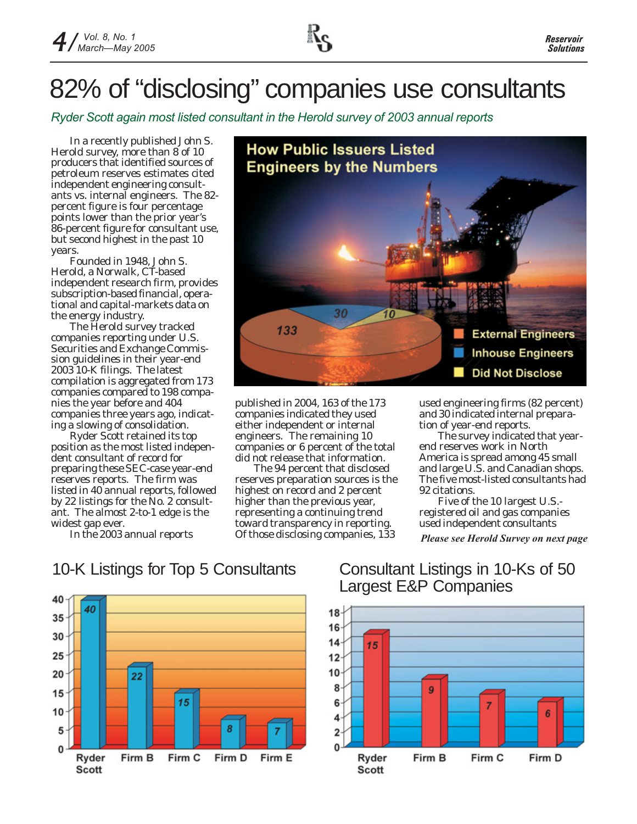# 82% of "disclosing" companies use consultants

*Ryder Scott again most listed consultant in the Herold survey of 2003 annual reports*

In a recently published John S. Herold survey, more than 8 of 10 producers that identified sources of petroleum reserves estimates cited independent engineering consultants vs. internal engineers. The 82 percent figure is four percentage points lower than the prior year's 86-percent figure for consultant use, but second highest in the past 10 years.

Founded in 1948, John S. Herold, a Norwalk, CT-based independent research firm, provides subscription-based financial, operational and capital-markets data on the energy industry.

The Herold survey tracked companies reporting under U.S. Securities and Exchange Commission guidelines in their year-end 2003 10-K filings. The latest compilation is aggregated from 173 companies compared to 198 companies the year before and 404 companies three years ago, indicating a slowing of consolidation.

Ryder Scott retained its top position as the most listed independent consultant of record for preparing these SEC-case year-end reserves reports. The firm was listed in 40 annual reports, followed by 22 listings for the No. 2 consultant. The almost 2-to-1 edge is the widest gap ever.

In the 2003 annual reports



published in 2004, 163 of the 173 companies indicated they used either independent or internal engineers. The remaining 10 companies or 6 percent of the total did not release that information.

The 94 percent that disclosed reserves preparation sources is the highest on record and 2 percent higher than the previous year, representing a continuing trend toward transparency in reporting. Of those disclosing companies, 133

used engineering firms (82 percent) and 30 indicated internal preparation of year-end reports.

The survey indicated that yearend reserves work in North America is spread among 45 small and large U.S. and Canadian shops. The five most-listed consultants had 92 citations.

Five of the 10 largest U.S. registered oil and gas companies used independent consultants

*Please see Herold Survey on next page*

### 10-K Listings for Top 5 Consultants Consultant Listings in 10-Ks of 50



# Largest E&P Companies

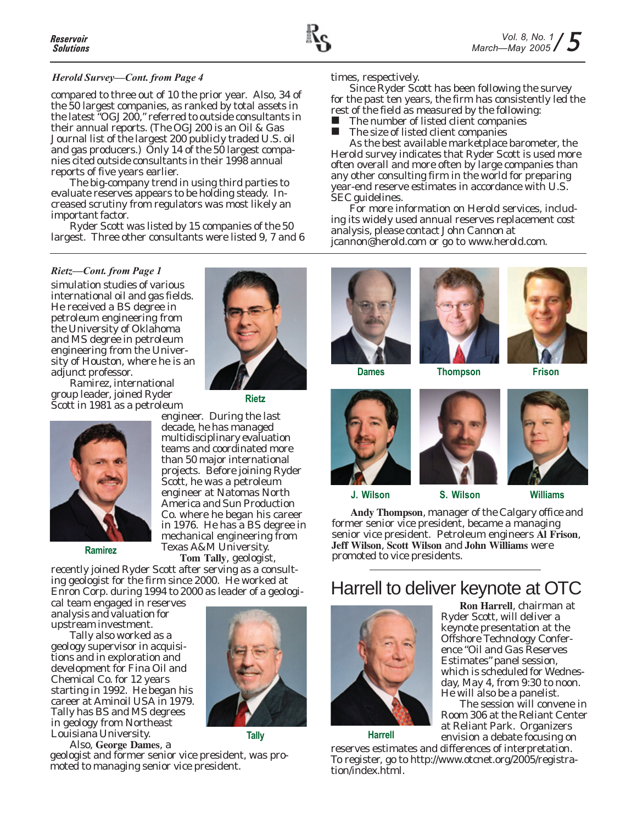

### *Herold Survey—Cont. from Page 4*

compared to three out of 10 the prior year. Also, 34 of the 50 largest companies, as ranked by total assets in the latest "OGJ200," referred to outside consultants in their annual reports. (The OGJ200 is an *Oil & Gas Journal* list of the largest 200 publicly traded U.S. oil and gas producers.) Only 14 of the 50 largest companies cited outside consultants in their 1998 annual reports of five years earlier.

The big-company trend in using third parties to evaluate reserves appears to be holding steady. Increased scrutiny from regulators was most likely an important factor.

Ryder Scott was listed by 15 companies of the 50 largest. Three other consultants were listed 9, 7 and 6

### *Rietz—Cont. from Page 1*

simulation studies of various international oil and gas fields. He received a BS degree in petroleum engineering from the University of Oklahoma and MS degree in petroleum engineering from the University of Houston, where he is an adjunct professor.

Ramirez, international group leader, joined Ryder Scott in 1981 as a petroleum



**Ramirez**

recently joined Ryder Scott after serving as a consulting geologist for the firm since 2000. He worked at

Enron Corp. during 1994 to 2000 as leader of a geological team engaged in reserves analysis and valuation for

upstream investment. Tally also worked as a geology supervisor in acquisitions and in exploration and development for Fina Oil and Chemical Co. for 12 years starting in 1992. He began his career at Aminoil USA in 1979. Tally has BS and MS degrees in geology from Northeast Louisiana University.

Also, **George Dames**, a geologist and former senior vice president, was promoted to managing senior vice president.



**Rietz**

engineer. During the last decade, he has managed multidisciplinary evaluation teams and coordinated more than 50 major international projects. Before joining Ryder Scott, he was a petroleum engineer at Natomas North America and Sun Production Co. where he began his career in 1976. He has a BS degree in mechanical engineering from

Texas A&M University. **Tom Tally**, geologist,



**Tally**

times, respectively.

Since Ryder Scott has been following the survey for the past ten years, the firm has consistently led the rest of the field as measured by the following:

 $\blacksquare$  The number of listed client companies<br> $\blacksquare$  The size of listed client companies

The size of listed client companies

As the best available marketplace barometer, the Herold survey indicates that Ryder Scott is used more often overall and more often by large companies than any other consulting firm in the world for preparing year-end reserve estimates in accordance with U.S. SEC guidelines.

For more information on Herold services, including its widely used annual reserves replacement cost analysis, please contact John Cannon at jcannon@herold.com or go to www.herold.com.













**J. Wilson S. Wilson Williams**

**Andy Thompson**, manager of the Calgary office and former senior vice president, became a managing senior vice president. Petroleum engineers **Al Frison**, **Jeff Wilson**, **Scott Wilson** and **John Williams** were promoted to vice presidents.

## Harrell to deliver keynote at OTC



**Harrell**

**Ron Harrell**, chairman at Ryder Scott, will deliver a keynote presentation at the Offshore Technology Conference "Oil and Gas Reserves Estimates" panel session, which is scheduled for Wednesday, May 4, from 9:30 to noon. He will also be a panelist.

The session will convene in Room 306 at the Reliant Center at Reliant Park. Organizers envision a debate focusing on

reserves estimates and differences of interpretation. To register, go to http://www.otcnet.org/2005/registration/index.html.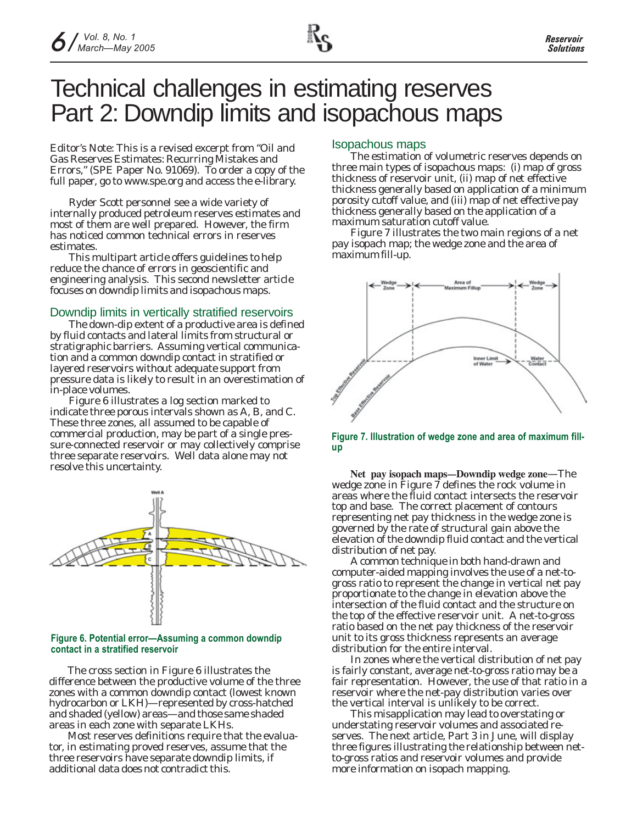## Technical challenges in estimating reserves Part 2: Downdip limits and isopachous maps

*Editor's Note: This is a revised excerpt from "Oil and Gas Reserves Estimates: Recurring Mistakes and Errors," (SPE Paper No. 91069). To order a copy of the full paper, go to www.spe.org and access the e-library.*

Ryder Scott personnel see a wide variety of internally produced petroleum reserves estimates and most of them are well prepared. However, the firm has noticed common technical errors in reserves estimates.

This multipart article offers guidelines to help reduce the chance of errors in geoscientific and engineering analysis. This second newsletter article focuses on downdip limits and isopachous maps.

### Downdip limits in vertically stratified reservoirs

The down-dip extent of a productive area is defined by fluid contacts and lateral limits from structural or stratigraphic barriers. Assuming vertical communication and a common downdip contact in stratified or layered reservoirs without adequate support from pressure data is likely to result in an overestimation of in-place volumes.

Figure 6 illustrates a log section marked to indicate three porous intervals shown as A, B, and C. These three zones, all assumed to be capable of commercial production, may be part of a single pressure-connected reservoir or may collectively comprise three separate reservoirs. Well data alone may not resolve this uncertainty.



### **Figure 6. Potential error—Assuming a common downdip contact in a stratified reservoir**

The cross section in Figure 6 illustrates the difference between the productive volume of the three zones with a common downdip contact (lowest known hydrocarbon or LKH)—represented by cross-hatched and shaded (yellow) areas—and those same shaded areas in each zone with separate LKHs.

Most reserves definitions require that the evaluator, in estimating proved reserves, assume that the three reservoirs have separate downdip limits, if additional data does not contradict this.

### Isopachous maps

The estimation of volumetric reserves depends on three main types of isopachous maps: (i) map of gross thickness of reservoir unit, (ii) map of net effective thickness generally based on application of a minimum porosity cutoff value, and (iii) map of net effective pay thickness generally based on the application of a maximum saturation cutoff value.

Figure 7 illustrates the two main regions of a net pay isopach map; the wedge zone and the area of maximum fill-up.



**Figure 7. Illustration of wedge zone and area of maximum fillup**

**Net pay isopach maps—Downdip wedge zone**—The wedge zone in Figure 7 defines the rock volume in areas where the fluid contact intersects the reservoir top and base. The correct placement of contours representing net pay thickness in the wedge zone is governed by the rate of structural gain above the elevation of the downdip fluid contact and the vertical distribution of net pay.

A common technique in both hand-drawn and computer-aided mapping involves the use of a net-togross ratio to represent the change in vertical net pay proportionate to the change in elevation above the intersection of the fluid contact and the structure on the top of the effective reservoir unit. A net-to-gross ratio based on the net pay thickness of the reservoir unit to its gross thickness represents an average distribution for the entire interval.

In zones where the vertical distribution of net pay is fairly constant, average net-to-gross ratio may be a fair representation. However, the use of that ratio in a reservoir where the net-pay distribution varies over the vertical interval is unlikely to be correct.

This misapplication may lead to overstating or understating reservoir volumes and associated reserves. The next article, Part 3 in June, will display three figures illustrating the relationship between netto-gross ratios and reservoir volumes and provide more information on isopach mapping.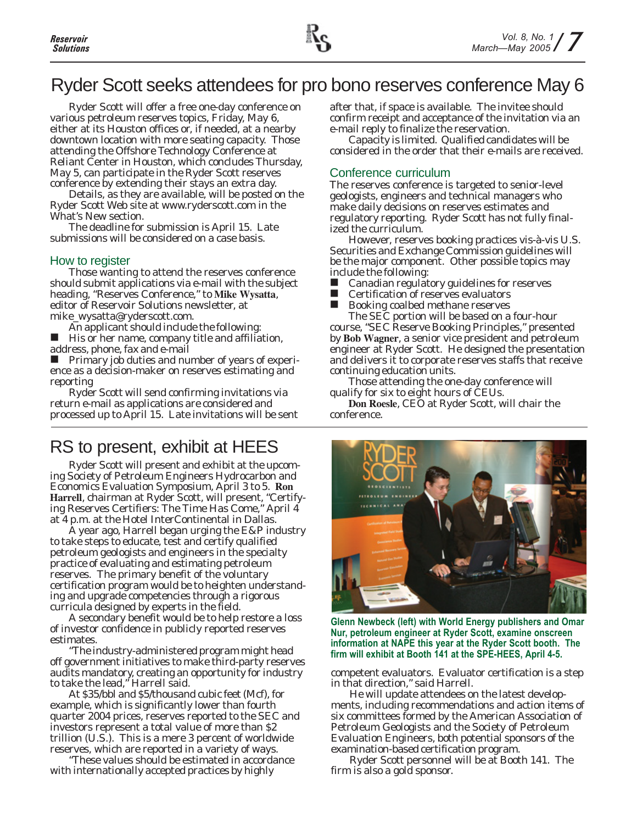

## Ryder Scott seeks attendees for pro bono reserves conference May 6

Ryder Scott will offer a free one-day conference on various petroleum reserves topics, Friday, May 6, either at its Houston offices or, if needed, at a nearby downtown location with more seating capacity. Those attending the Offshore Technology Conference at Reliant Center in Houston, which concludes Thursday, May 5, can participate in the Ryder Scott reserves conference by extending their stays an extra day.

Details, as they are available, will be posted on the Ryder Scott Web site at www.ryderscott.com in the What's New section.

The deadline for submission is April 15. Late submissions will be considered on a case basis.

### How to register

Those wanting to attend the reserves conference should submit applications via e-mail with the subject heading, "Reserves Conference," to **Mike Wysatta**, editor of *Reservoir Solutions* newsletter, at mike\_wysatta@ryderscott.com.

An applicant should include the following:

 His or her name, company title and affiliation, address, phone, fax and e-mail

 Primary job duties and number of years of experience as a decision-maker on reserves estimating and reporting

Ryder Scott will send confirming invitations via return e-mail as applications are considered and processed up to April 15. Late invitations will be sent

## RS to present, exhibit at HEES

Ryder Scott will present and exhibit at the upcoming Society of Petroleum Engineers Hydrocarbon and Economics Evaluation Symposium, April 3 to 5. **Ron Harrell**, chairman at Ryder Scott, will present, "Certifying Reserves Certifiers: The Time Has Come," April 4 at 4 p.m. at the Hotel InterContinental in Dallas.

A year ago, Harrell began urging the E&P industry to take steps to educate, test and certify qualified petroleum geologists and engineers in the specialty practice of evaluating and estimating petroleum reserves. The primary benefit of the voluntary certification program would be to heighten understanding and upgrade competencies through a rigorous curricula designed by experts in the field.

A secondary benefit would be to help restore a loss of investor confidence in publicly reported reserves estimates.

"The industry-administered program might head off government initiatives to make third-party reserves audits mandatory, creating an opportunity for industry to take the lead," Harrell said.

At \$35/bbl and \$5/thousand cubic feet (Mcf), for example, which is significantly lower than fourth quarter 2004 prices, reserves reported to the SEC and investors represent a total value of more than \$2 trillion (U.S.). This is a mere 3 percent of worldwide reserves, which are reported in a variety of ways.

"These values should be estimated in accordance with internationally accepted practices by highly

after that, if space is available. The invitee should confirm receipt and acceptance of the invitation via an e-mail reply to finalize the reservation.

Capacity is limited. Qualified candidates will be considered in the order that their e-mails are received.

### Conference curriculum

The reserves conference is targeted to senior-level geologists, engineers and technical managers who make daily decisions on reserves estimates and regulatory reporting. Ryder Scott has not fully finalized the curriculum.

However, reserves booking practices vis-à-vis U.S. Securities and Exchange Commission guidelines will be the major component. Other possible topics may include the following:

■ Canadian regulatory guidelines for reserves<br>■ Certification of reserves evaluators

- Certification of reserves evaluators<br>■ Booking coalbed methane reserves
- Booking coalbed methane reserves

The SEC portion will be based on a four-hour course, "SEC Reserve Booking Principles," presented by **Bob Wagner**, a senior vice president and petroleum engineer at Ryder Scott. He designed the presentation and delivers it to corporate reserves staffs that receive continuing education units.

Those attending the one-day conference will qualify for six to eight hours of CEUs.

**Don Roesle**, CEO at Ryder Scott, will chair the conference.



**Glenn Newbeck (left) with World Energy publishers and Omar Nur, petroleum engineer at Ryder Scott, examine onscreen information at NAPE this year at the Ryder Scott booth. The firm will exhibit at Booth 141 at the SPE-HEES, April 4-5.**

competent evaluators. Evaluator certification is a step in that direction," said Harrell.

He will update attendees on the latest developments, including recommendations and action items of six committees formed by the American Association of Petroleum Geologists and the Society of Petroleum Evaluation Engineers, both potential sponsors of the examination-based certification program.

Ryder Scott personnel will be at Booth 141. The firm is also a gold sponsor.